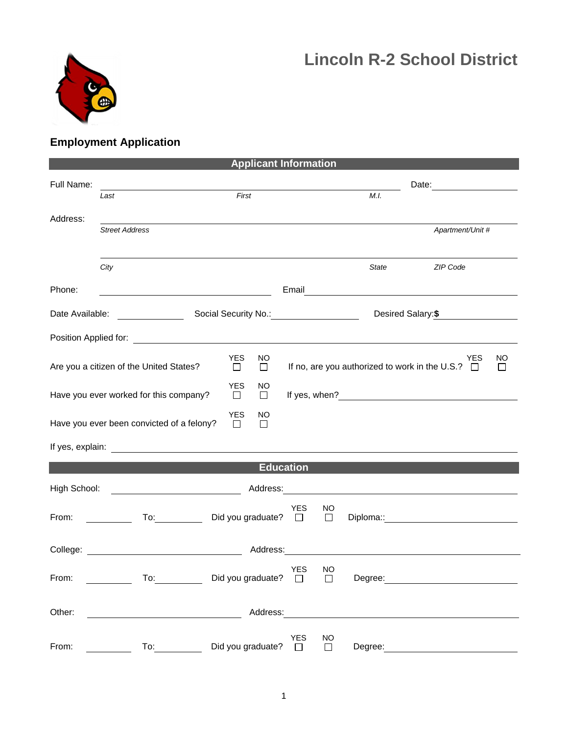



## **Employment Application**

| <b>Applicant Information</b> |                                           |                                       |                  |                     |              |                                                              |               |  |  |  |
|------------------------------|-------------------------------------------|---------------------------------------|------------------|---------------------|--------------|--------------------------------------------------------------|---------------|--|--|--|
| Full Name:                   | Last                                      | First                                 |                  |                     | M.I.         | Date: <u>____________________</u>                            |               |  |  |  |
| Address:                     |                                           |                                       |                  |                     |              |                                                              |               |  |  |  |
|                              | <b>Street Address</b>                     |                                       |                  |                     |              | Apartment/Unit #                                             |               |  |  |  |
|                              | City                                      |                                       |                  |                     | <b>State</b> | ZIP Code                                                     |               |  |  |  |
| Phone:                       |                                           |                                       |                  |                     |              |                                                              |               |  |  |  |
|                              |                                           |                                       |                  |                     |              | Desired Salary: \$                                           |               |  |  |  |
|                              |                                           |                                       |                  |                     |              |                                                              |               |  |  |  |
|                              | Are you a citizen of the United States?   | <b>YES</b><br>NO.<br>$\Box$<br>$\Box$ |                  |                     |              | YES<br>If no, are you authorized to work in the U.S.? $\Box$ | NO<br>$\perp$ |  |  |  |
|                              | Have you ever worked for this company?    | <b>YES</b><br>NO<br>$\Box$<br>$\Box$  |                  |                     |              |                                                              |               |  |  |  |
|                              | Have you ever been convicted of a felony? | <b>YES</b><br>NO<br>$\Box$<br>$\Box$  |                  |                     |              |                                                              |               |  |  |  |
|                              |                                           |                                       |                  |                     |              |                                                              |               |  |  |  |
|                              |                                           |                                       | <b>Education</b> |                     |              |                                                              |               |  |  |  |
| High School:                 |                                           |                                       |                  |                     |              |                                                              |               |  |  |  |
| From:                        |                                           | To: Did you graduate? □               | <b>YES</b>       | NO<br>$\Box$        |              |                                                              |               |  |  |  |
|                              |                                           | Address:                              |                  |                     |              |                                                              |               |  |  |  |
| From:                        | $\overline{a}$ To:                        | Did you graduate? $\square$           | <b>YES</b>       | NO<br>$\Box$        | Degree:      |                                                              |               |  |  |  |
| Other:                       |                                           | Address:                              |                  |                     |              |                                                              |               |  |  |  |
| From:                        | To:                                       | Did you graduate?                     | YES<br>$\Box$    | <b>NO</b><br>$\Box$ | Degree:      |                                                              |               |  |  |  |